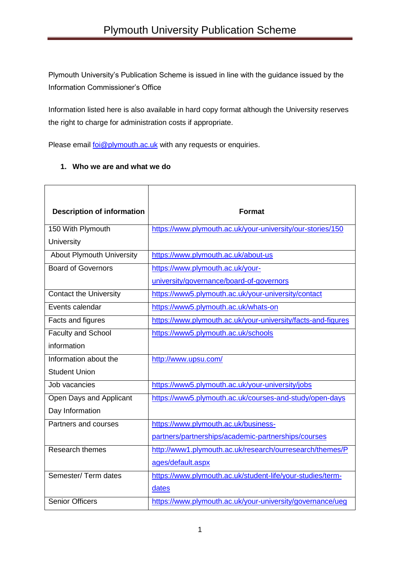Plymouth University's Publication Scheme is issued in line with the guidance issued by the Information Commissioner's Office

Information listed here is also available in hard copy format although the University reserves the right to charge for administration costs if appropriate.

Please email **foi@plymouth.ac.uk** with any requests or enquiries.

#### **1. Who we are and what we do**

| <b>Description of information</b> | Format                                                       |
|-----------------------------------|--------------------------------------------------------------|
| 150 With Plymouth                 | https://www.plymouth.ac.uk/your-university/our-stories/150   |
| University                        |                                                              |
| <b>About Plymouth University</b>  | https://www.plymouth.ac.uk/about-us                          |
| <b>Board of Governors</b>         | https://www.plymouth.ac.uk/your-                             |
|                                   | university/governance/board-of-governors                     |
| <b>Contact the University</b>     | https://www5.plymouth.ac.uk/your-university/contact          |
| Events calendar                   | https://www5.plymouth.ac.uk/whats-on                         |
| Facts and figures                 | https://www.plymouth.ac.uk/your-university/facts-and-figures |
| <b>Faculty and School</b>         | https://www5.plymouth.ac.uk/schools                          |
| information                       |                                                              |
| Information about the             | http://www.upsu.com/                                         |
| <b>Student Union</b>              |                                                              |
| Job vacancies                     | https://www5.plymouth.ac.uk/your-university/jobs             |
| Open Days and Applicant           | https://www5.plymouth.ac.uk/courses-and-study/open-days      |
| Day Information                   |                                                              |
| Partners and courses              | https://www.plymouth.ac.uk/business-                         |
|                                   | partners/partnerships/academic-partnerships/courses          |
| <b>Research themes</b>            | http://www1.plymouth.ac.uk/research/ourresearch/themes/P     |
|                                   | ages/default.aspx                                            |
| Semester/Term dates               | https://www.plymouth.ac.uk/student-life/your-studies/term-   |
|                                   | dates                                                        |
| <b>Senior Officers</b>            | https://www.plymouth.ac.uk/your-university/governance/ueg    |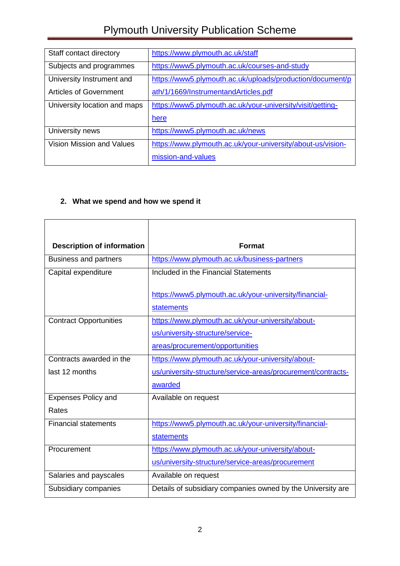| Staff contact directory          | https://www.plymouth.ac.uk/staff                            |
|----------------------------------|-------------------------------------------------------------|
| Subjects and programmes          | https://www5.plymouth.ac.uk/courses-and-study               |
| University Instrument and        | https://www5.plymouth.ac.uk/uploads/production/document/p   |
| Articles of Government           | ath/1/1669/InstrumentandArticles.pdf                        |
| University location and maps     | https://www5.plymouth.ac.uk/your-university/visit/getting-  |
|                                  | here                                                        |
| University news                  | https://www5.plymouth.ac.uk/news                            |
| <b>Vision Mission and Values</b> | https://www.plymouth.ac.uk/your-university/about-us/vision- |
|                                  | mission-and-values                                          |

### **2. What we spend and how we spend it**

| <b>Description of information</b> | <b>Format</b>                                                        |
|-----------------------------------|----------------------------------------------------------------------|
| <b>Business and partners</b>      | https://www.plymouth.ac.uk/business-partners                         |
| Capital expenditure               | Included in the Financial Statements                                 |
|                                   | https://www5.plymouth.ac.uk/your-university/financial-<br>statements |
| <b>Contract Opportunities</b>     | https://www.plymouth.ac.uk/your-university/about-                    |
|                                   | us/university-structure/service-                                     |
|                                   | areas/procurement/opportunities                                      |
| Contracts awarded in the          | https://www.plymouth.ac.uk/your-university/about-                    |
| last 12 months                    | us/university-structure/service-areas/procurement/contracts-         |
|                                   | awarded                                                              |
| <b>Expenses Policy and</b>        | Available on request                                                 |
| Rates                             |                                                                      |
| <b>Financial statements</b>       | https://www5.plymouth.ac.uk/your-university/financial-               |
|                                   | statements                                                           |
| Procurement                       | https://www.plymouth.ac.uk/your-university/about-                    |
|                                   | us/university-structure/service-areas/procurement                    |
| Salaries and payscales            | Available on request                                                 |
| Subsidiary companies              | Details of subsidiary companies owned by the University are          |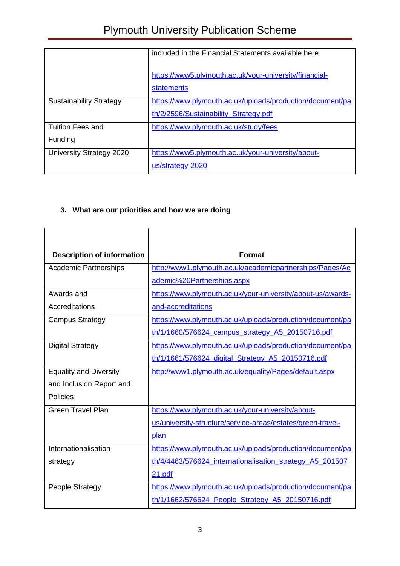|                                | included in the Financial Statements available here       |
|--------------------------------|-----------------------------------------------------------|
|                                | https://www5.plymouth.ac.uk/your-university/financial-    |
|                                | statements                                                |
| <b>Sustainability Strategy</b> | https://www.plymouth.ac.uk/uploads/production/document/pa |
|                                | th/2/2596/Sustainability Strategy.pdf                     |
| <b>Tuition Fees and</b>        | https://www.plymouth.ac.uk/study/fees                     |
| Funding                        |                                                           |
| University Strategy 2020       | https://www5.plymouth.ac.uk/your-university/about-        |
|                                | us/strategy-2020                                          |

٦

### **3. What are our priorities and how we are doing**

**r** 

| <b>Description of information</b> | <b>Format</b>                                               |
|-----------------------------------|-------------------------------------------------------------|
| <b>Academic Partnerships</b>      | http://www1.plymouth.ac.uk/academicpartnerships/Pages/Ac    |
|                                   | ademic%20Partnerships.aspx                                  |
| Awards and                        | https://www.plymouth.ac.uk/your-university/about-us/awards- |
| Accreditations                    | and-accreditations                                          |
| <b>Campus Strategy</b>            | https://www.plymouth.ac.uk/uploads/production/document/pa   |
|                                   | th/1/1660/576624_campus_strategy_A5_20150716.pdf            |
| <b>Digital Strategy</b>           | https://www.plymouth.ac.uk/uploads/production/document/pa   |
|                                   | th/1/1661/576624_digital_Strategy_A5_20150716.pdf           |
| <b>Equality and Diversity</b>     | http://www1.plymouth.ac.uk/equality/Pages/default.aspx      |
| and Inclusion Report and          |                                                             |
| Policies                          |                                                             |
| <b>Green Travel Plan</b>          | https://www.plymouth.ac.uk/your-university/about-           |
|                                   | us/university-structure/service-areas/estates/green-travel- |
|                                   | plan                                                        |
| Internationalisation              | https://www.plymouth.ac.uk/uploads/production/document/pa   |
| strategy                          | th/4/4463/576624_internationalisation_strategy_A5_201507    |
|                                   | 21.pdf                                                      |
| People Strategy                   | https://www.plymouth.ac.uk/uploads/production/document/pa   |
|                                   | th/1/1662/576624_People_Strategy_A5_20150716.pdf            |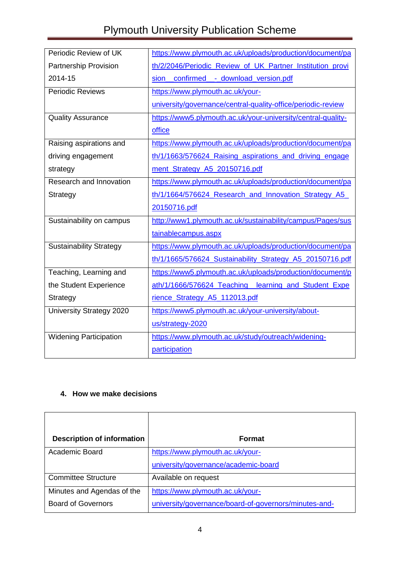| Periodic Review of UK          | https://www.plymouth.ac.uk/uploads/production/document/pa    |
|--------------------------------|--------------------------------------------------------------|
| <b>Partnership Provision</b>   | th/2/2046/Periodic_Review_of_UK_Partner_Institution_provi    |
| 2014-15                        | sion_confirmed_-_download_version.pdf                        |
| <b>Periodic Reviews</b>        | https://www.plymouth.ac.uk/your-                             |
|                                | university/governance/central-quality-office/periodic-review |
| <b>Quality Assurance</b>       | https://www5.plymouth.ac.uk/your-university/central-quality- |
|                                | office                                                       |
| Raising aspirations and        | https://www.plymouth.ac.uk/uploads/production/document/pa    |
| driving engagement             | th/1/1663/576624_Raising_aspirations_and_driving_engage      |
| strategy                       | ment_Strategy_A5_20150716.pdf                                |
| Research and Innovation        | https://www.plymouth.ac.uk/uploads/production/document/pa    |
| Strategy                       | th/1/1664/576624_Research_and_Innovation_Strategy_A5_        |
|                                | 20150716.pdf                                                 |
| Sustainability on campus       | http://www1.plymouth.ac.uk/sustainability/campus/Pages/sus   |
|                                | tainablecampus.aspx                                          |
| <b>Sustainability Strategy</b> | https://www.plymouth.ac.uk/uploads/production/document/pa    |
|                                | th/1/1665/576624 Sustainability Strategy A5 20150716.pdf     |
| Teaching, Learning and         | https://www5.plymouth.ac.uk/uploads/production/document/p    |
| the Student Experience         | ath/1/1666/576624_Teaching_learning_and_Student_Expe         |
| Strategy                       | rience Strategy A5 112013.pdf                                |
| University Strategy 2020       | https://www5.plymouth.ac.uk/your-university/about-           |
|                                | us/strategy-2020                                             |
| <b>Widening Participation</b>  | https://www.plymouth.ac.uk/study/outreach/widening-          |
|                                | participation                                                |

#### **4. How we make decisions**

| <b>Description of information</b> | <b>Format</b>                                         |
|-----------------------------------|-------------------------------------------------------|
| Academic Board                    | https://www.plymouth.ac.uk/your-                      |
|                                   | university/governance/academic-board                  |
| <b>Committee Structure</b>        | Available on request                                  |
| Minutes and Agendas of the        | https://www.plymouth.ac.uk/your-                      |
| <b>Board of Governors</b>         | university/governance/board-of-governors/minutes-and- |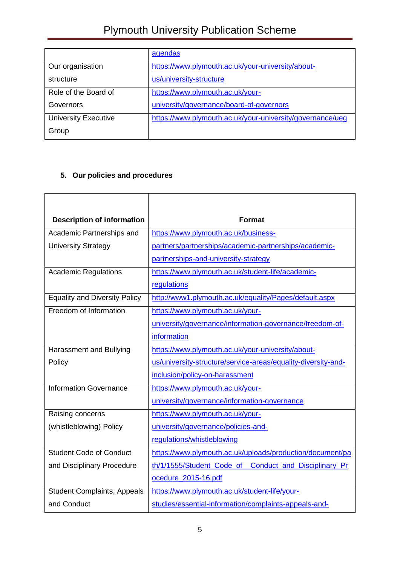|                             | agendas                                                   |
|-----------------------------|-----------------------------------------------------------|
| Our organisation            | https://www.plymouth.ac.uk/your-university/about-         |
| structure                   | us/university-structure                                   |
| Role of the Board of        | https://www.plymouth.ac.uk/your-                          |
| Governors                   | university/governance/board-of-governors                  |
| <b>University Executive</b> | https://www.plymouth.ac.uk/your-university/governance/ueg |
| Group                       |                                                           |

### **5. Our policies and procedures**

| <b>Description of information</b>    | <b>Format</b>                                                 |
|--------------------------------------|---------------------------------------------------------------|
| Academic Partnerships and            | https://www.plymouth.ac.uk/business-                          |
| <b>University Strategy</b>           | partners/partnerships/academic-partnerships/academic-         |
|                                      | partnerships-and-university-strategy                          |
| <b>Academic Regulations</b>          | https://www.plymouth.ac.uk/student-life/academic-             |
|                                      | regulations                                                   |
| <b>Equality and Diversity Policy</b> | http://www1.plymouth.ac.uk/equality/Pages/default.aspx        |
| Freedom of Information               | https://www.plymouth.ac.uk/your-                              |
|                                      | university/governance/information-governance/freedom-of-      |
|                                      | information                                                   |
| Harassment and Bullying              | https://www.plymouth.ac.uk/your-university/about-             |
| Policy                               | us/university-structure/service-areas/equality-diversity-and- |
|                                      | inclusion/policy-on-harassment                                |
| <b>Information Governance</b>        | https://www.plymouth.ac.uk/your-                              |
|                                      | university/governance/information-governance                  |
| Raising concerns                     | https://www.plymouth.ac.uk/your-                              |
| (whistleblowing) Policy              | university/governance/policies-and-                           |
|                                      | regulations/whistleblowing                                    |
| <b>Student Code of Conduct</b>       | https://www.plymouth.ac.uk/uploads/production/document/pa     |
| and Disciplinary Procedure           | th/1/1555/Student_Code_of__Conduct_and_Disciplinary_Pr        |
|                                      | ocedure 2015-16.pdf                                           |
| <b>Student Complaints, Appeals</b>   | https://www.plymouth.ac.uk/student-life/your-                 |
| and Conduct                          | studies/essential-information/complaints-appeals-and-         |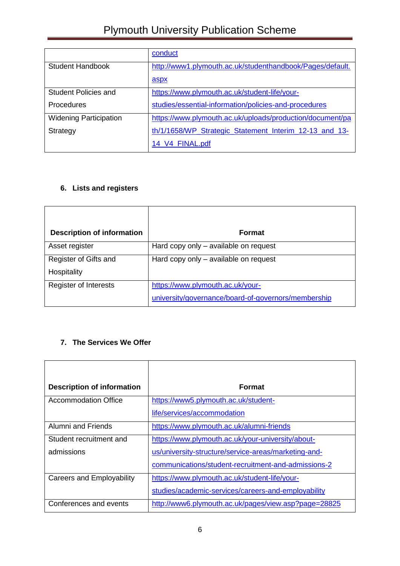|                               | conduct                                                   |
|-------------------------------|-----------------------------------------------------------|
| <b>Student Handbook</b>       | http://www1.plymouth.ac.uk/studenthandbook/Pages/default. |
|                               | <u>aspx</u>                                               |
| <b>Student Policies and</b>   | https://www.plymouth.ac.uk/student-life/your-             |
| <b>Procedures</b>             | studies/essential-information/policies-and-procedures     |
| <b>Widening Participation</b> | https://www.plymouth.ac.uk/uploads/production/document/pa |
| Strategy                      | th/1/1658/WP_Strategic_Statement_Interim_12-13_and_13-    |
|                               | 14 V4 FINAL.pdf                                           |

### **6. Lists and registers**

| <b>Description of information</b> | <b>Format</b>                                       |
|-----------------------------------|-----------------------------------------------------|
| Asset register                    | Hard copy only – available on request               |
| Register of Gifts and             | Hard copy only – available on request               |
| Hospitality                       |                                                     |
| <b>Register of Interests</b>      | https://www.plymouth.ac.uk/your-                    |
|                                   | university/governance/board-of-governors/membership |

### **7. The Services We Offer**

| <b>Description of information</b> | <b>Format</b>                                        |
|-----------------------------------|------------------------------------------------------|
| Accommodation Office              | https://www5.plymouth.ac.uk/student-                 |
|                                   | life/services/accommodation                          |
| <b>Alumni and Friends</b>         | https://www.plymouth.ac.uk/alumni-friends            |
| Student recruitment and           | https://www.plymouth.ac.uk/your-university/about-    |
| admissions                        | us/university-structure/service-areas/marketing-and- |
|                                   | communications/student-recruitment-and-admissions-2  |
| <b>Careers and Employability</b>  | https://www.plymouth.ac.uk/student-life/your-        |
|                                   | studies/academic-services/careers-and-employability  |
| Conferences and events            | http://www6.plymouth.ac.uk/pages/view.asp?page=28825 |